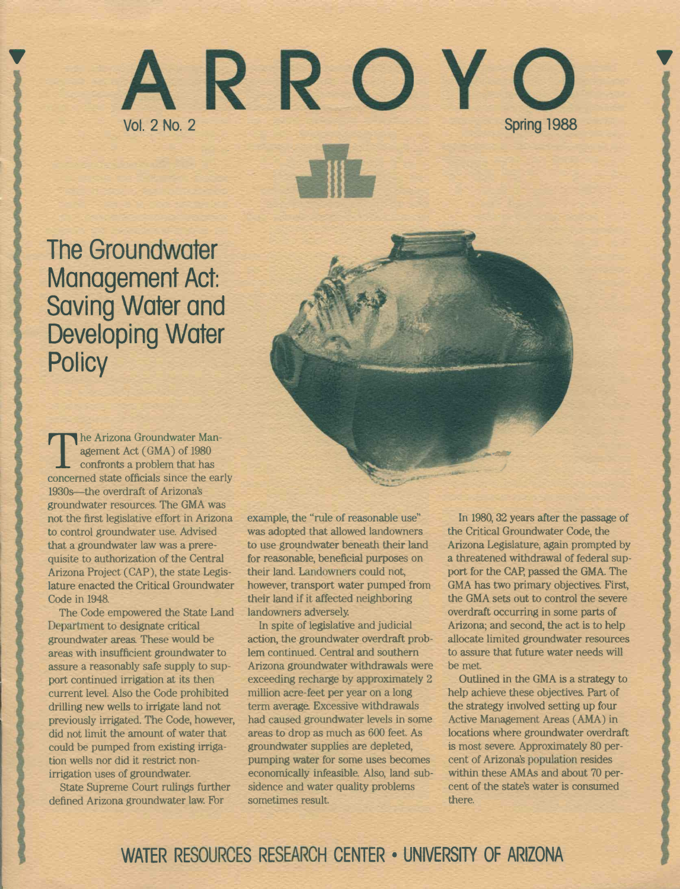# I ARROYOT Vol. 2 No. 2 Spring 1988

The Groundwater Management Act: Saving Water and Developing Water **Policy** 

agement Act (GMA) of 1980<br>confronts a problem that has he Arizona Groundwater Management Act (GMA) of 1980 concerned state officials since the early 1930s-the overdraft of Arizona's groundwater resources. The GMA was not the first legislative effort in Arizona to control groundwater use. Advised that a groundwater law was a prerequisite to authorization of the Central Arizona Project (CAP), the state Legislature enacted the Critical Groundwater Code in 1948.

The Code empowered the State Land Department to designate critical groundwater areas. These would be areas with insufficient groundwater to assure a reasonably safe supply to support continued irrigation at its then current level. Also the Code prohibited drilling new wells to irrigate land not previously irrigated. The Code, however, did not limit the amount of water that could be pumped from existing irrigation wells nor did it restrict nonirrigation uses of groundwater.

State Supreme Court rulings further defined Arizona groundwater law. For

example, the "rule of reasonable use" was adopted that allowed landowners to use groundwater beneath their land for reasonable, beneficial purposes on their land. Landowners could not, however, transport water pumped from their land if it affected neighboring landowners adversely.

In spite of legislative and judicial action, the groundwater overdraft problem continued. Central and southern Arizona groundwater withdrawals were exceeding recharge by approximately 2 million acre-feet per year on a long term average. Excessive withdrawals had caused groundwater levels in some areas to drop as much as 600 feet. As groundwater supplies are depleted, pumping water for some uses becomes economically infeasible. Also, land subsidence and water quality problems sometimes result.

In 1980, 32 years after the passage of the Critical Groundwater Code, the Arizona Legislature, again prompted by a threatened withdrawal of federal support for the CAP, passed the GMA. The GMA has two primary objectives. First, the GMA sets out to control the severe overdraft occurring in some parts of Arizona; and second, the act is to help allocate limited groundwater resources to assure that future water needs will be met.

Outlined in the GMA is a strategy to help achieve these objectives. Part of the strategy involved setting up four Active Management Areas (AMA) in locations where groundwater overdraft is most severe. Approximately 80 percent of Arizona's population resides within these AMAs and about 70 percent of the state's water is consumed there.

## WATER RESOURCES RESEARCH CENTER . UNIVERSITY OF ARIZONA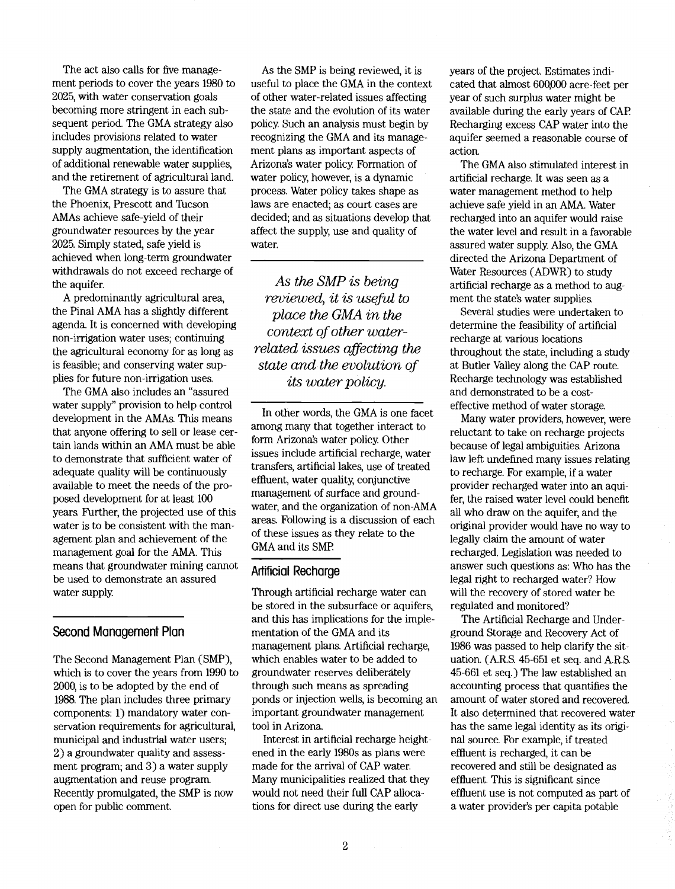The act also calls for five management periods to cover the years 1980 to 2025, with water conservation goals becoming more stringent in each subsequent period. The GMA strategy also includes provisions related to water supply augmentation, the identification of additional renewable water supplies, and the retirement of agricultural land.

The GMA strategy is to assure that the Phoenix, Prescott and Tucson AMAs achieve safe-yield of their groundwater resources by the year 2025. Simply stated, safe yield is achieved when long-term groundwater withdrawals do not exceed recharge of the aquifer.

A predominantly agricultural area, the Pinal AMA has a slightly different agenda It is concerned with developing non-irrigation water uses; continuing the agricultural economy for as long as is feasible; and conserving water supplies for future non-irrigation uses.

The GMA also includes an "assured water supply" provision to help control development in the AMAs. This means that anyone offering to sell or lease certain lands within an AMA must be able to demonstrate that sufficient water of adequate quality will be continuously available to meet the needs of the proposed development for at least 100 years. Further, the projected use of this water is to be consistent with the management plan and achievement of the management goal for the AMA. This means that groundwater mining cannot be used to demonstrate an assured water supply.

#### Second Management Plan

The Second Management Plan (SMP), which is to cover the years from 1990 to 2000, is to be adopted by the end of 1988. The plan includes three primary components: 1) mandatory water conservation requirements for agricultural, municipal and industrial water users; 2) a groundwater quality and assessment program; and 3) a water supply augmentation and reuse program. Recently promulgated, the SMP is now open for public comment.

As the SMP is being reviewed, it is useful to place the GMA in the context of other water-related issues affecting the state and the evolution of its water policy. Such an analysis must begin by recognizing the GMA and its management plans as important aspects of Arizona's water policy. Formation of water policy, however, is a dynamic process. Water policy takes shape as laws are enacted; as court cases are decided; and as situations develop that affect the supply, use and quality of water.

As the SMP is being reviewed, it is useful to place the GMA in the context of other waterrelated issues affecting the state and the evolution of its water policy.

In other words, the GMA is one facet among many that together interact to form Arizona?s water policy. Other issues include artificial recharge, water transfers, artificial lakes, use of treated effluent, water quality, conjunctive management of surface and groundwater, and the organization of non-AMA areas. Following is a discussion of each of these issues as they relate to the GMA and its SMP.

#### Artificial Recharge

Through artificial recharge water can be stored in the subsurface or aquifers, and this has implications for the implementation of the GMA and its management plans. Artificial recharge, which enables water to be added to groundwater reserves deliberately through such means as spreading ponds or injection wells, is becoming an important groundwater management tool in Arizona.

Interest in artificial recharge heightened in the early 1980s as plans were made for the arrival of CAP water. Many municipalities realized that they would not need their full CAP allocations for direct use during the early

years of the project. Estimates indicated that almost 600,000 acre-feet per year of such surplus water might be available during the early years of CAP Recharging excess CAP water into the aquifer seemed a reasonable course of action.

The GMA also stimulated interest in artificial recharge. It was seen as a water management method to help achieve safe yield in an AMA. Water recharged into an aquifer would raise the water level and result in a favorable assured water supply. Also, the GMA directed the Arizona Department of Water Resources (ADWR) to study artificial recharge as a method to augment the state's water supplies.

Several studies were undertaken to determine the feasibility of artificial recharge at various locations throughout the state, including a study at Butler Valley along the CAP route. Recharge technology was established and demonstrated to be a costeffective method of water storage.

Many water providers, however, were reluctant to take on recharge projects because of legal ambiguities. Arizona law left undefined many issues relating to recharge. For example, if a water provider recharged water into an aquifer, the raised water level could benefit all who draw on the aquifer, and the original provider would have no way to legally claim the amount of water recharged. Legislation was needed to answer such questions as: Who has the legal right to recharged water? How will the recovery of stored water be regulated and monitored?

The Artificial Recharge and Underground Storage and Recovery Act of 1986 was passed to help clarify the situation. (A.R.S. 45-651 et seq. and A.R.S 45-661 et seq.) The law established an accounting process that quantifies the amount of water stored and recovered. It also determined that recovered water has the same legal identity as its original source. For example, if treated effluent is recharged, it can be recovered and still be designated as effluent. This is significant since effluent use is not computed as part of a water provider's per capita potable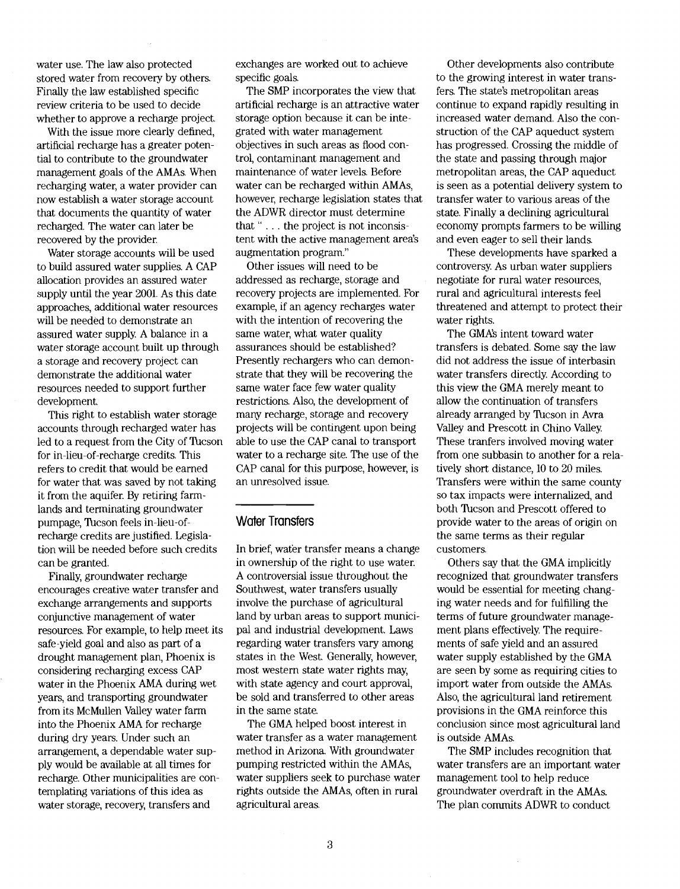water use. The law also protected stored water from recovery by others. Finally the law established specific review criteria to be used to decide whether to approve a recharge project.

With the issue more clearly defined, artificial recharge has a greater potential to contribute to the groundwater management goals of the AMAs. When recharging water, a water provider can now establish a water storage account that documents the quantity of water recharged. The water can later be recovered by the provider.

Water storage accounts will be used to build assured water supplies. A CAP allocation provides an assured water supply until the year 2001. As this date approaches, additional water resources will be needéd to demonstrate an assured water supply. A balance in a water storage account built up through a storage and recovery project can demonstrate the additional water resources needed to support further development.

This right to establish water storage accounts through recharged water has led to a request from the City of Tucson for in-lieu-of-recharge credits. This refers to credit that would be earned for water that was saved by not taking it from the aquifer. By retiring farmlands and terminating groundwater pumpage, Tucson feels in-lieu-ofrecharge credits are justified. Legislation will be needed before such credits can be granted.

Finally, groundwater recharge encourages creative water transfer and exchange arrangements and supports conjunctive management of water resources. For example, to help meet its safe-yield goal and also as part of a drought management plan, Phoenix is considering recharging excess CAP water in the Phoenix AMA during wet years, and transporting groundwater from its McMullen Valley water farm into the Phoenix AMA for recharge during dry years. Under such an arrangement, a dependable water supply would be available at all times for recharge. Other municipalities are contemplating variations of this idea as water storage, recovery, transfers and

exchanges are worked out to achieve specific goals.

The SMP incorporates the view that artificial recharge is an attractive water storage option because it can be integrated with water management objectives in such areas as flood control, contaminant management and maintenance of water levels. Before water can be recharged within AMAs, however, recharge legislation states that the ADWR director must determine that "... the project is not inconsistent with the active management area?s augmentation program."

Other issues will need to be addressed as recharge, storage and recovery projects are implemented. For example, if an agency recharges water with the intention of recovering the same water, what water quality assurances should be established? Presently rechargers who can demonstrate that they will be recovering the same water face few water quality restrictions. Also, the development of many recharge, storage and recovery projects will be contingent upon being able to use the CAP canal to transport water to a recharge site. The use of the CAP canal for this purpose, however, is an unresolved issue.

#### Water Transfers

In brief, water transfer means a change in ownership of the right to use water. A controversial issue throughout the Southwest, water transfers usually involve the purchase of agricultural land by urban areas to support municipal and industrial development. Laws regarding water transfers vary among states in the West. Generally, however, most western state water rights may, with state agency and court approval, be sold and transferred to other areas in the same state.

The GMA helped boost interest in water transfer as a water management method in Arizona With groundwater pumping restricted within the AMAs, water suppliers seek to purchase water rights outside the AMAs, often in rural agricultural areas.

Other developments also contribute to the growing interest in water transfers. The state's metropolitan areas continue to expand rapidly resulting in increased water demand. Also the construction of the CAP aqueduct system has progressed. Crossing the middle of the state and passing through major metropolitan areas, the CAP aqueduct is seen as a potential delivery system to transfer water to various areas of the state. Finally a declining agricultural economy prompts farmers to be willing and even eager to sell their lands.

These developments have sparked a controversy. As urban water suppliers negotiate for rural water resources, rural and agricultural interests feel threatened and attempt to protect their water rights.

The GMAs intent toward water transfers is debated. Some say the law did not address the issue of interbasin water transfers directly. According to this view the GMA merely meant to allow the continuation of transfers already arranged by Tucson in Avra Valley and Prescott in Chino Valley. These tranfers involved moving water from one subbasin to another for a relatively short distance, 10 to 20 miles. Transfers were within the same county so tax impacts were internalized, and both Tucson and Prescott offered to provide water to the areas of origin on the same terms as their regular customers.

Others say that the GMA implicitly recognized that groundwater transfers would be essential for meeting changing water needs and for fulfilling the terms of future groundwater management plans effectively. The requirements of safe yield and an assured water supply established by the GMA are seen by some as requiring cities to import water from outside the AMAs. Also, the agricultural land retirement provisions in the GMA reinforce this conclusion since most agricultural land is outside AMAs.

The SMP includes recognition that water transfers are an important water management tool to help reduce groundwater overdraft in the AMAs. The plan commits ADWR to conduct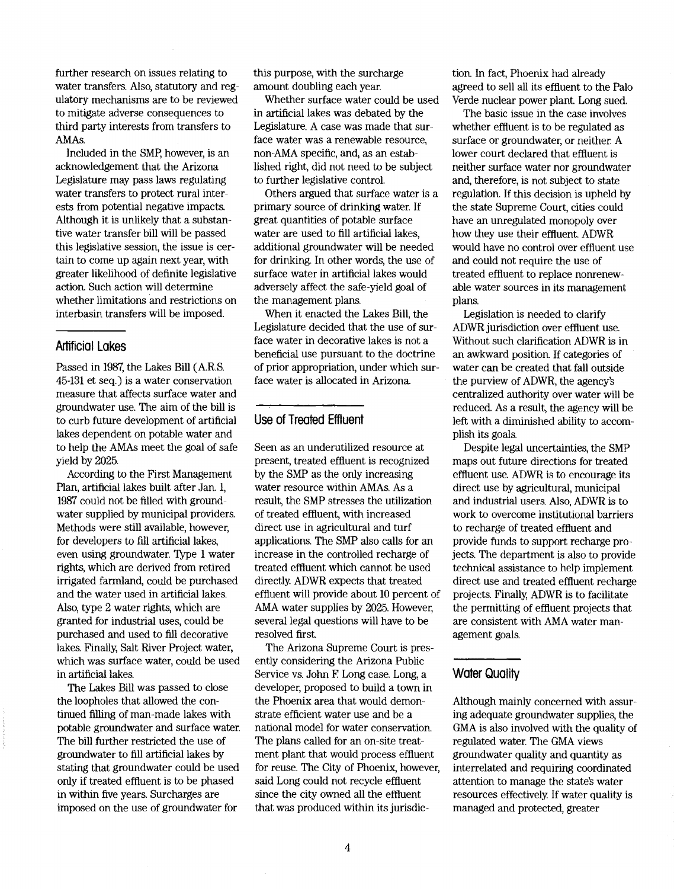further research on issues relating to water transfers. Also, statutory and regulatory mechanisms are to be reviewed to mitigate adverse consequences to third party interests from transfers to AMAs.

Included in the SMP, however, is an acknowledgement that the Arizona Legislature may pass laws regulating water transfers to protect rural interests from potential negative impacts Although it is unlikely that a substantive water transfer bill will be passed this legislative session, the issue is certain to come up again next year, with greater likelihood of definite legislative action. Such action will determine whether limitations and restrictions on interbasin transfers will be imposed.

#### Artificial Lakes

Passed in 1987, the Lakes Bill (A.R.S 45-131 et seq.) is a water conservation measure that affects surface water and groundwater use. The aim of the bill is to curb future development of artificial lakes dependent on potable water and to help the AMAs meet the goal of safe yield by 2025.

According to the First Management Plan, artificial lakes built after Jan. 1, 1987 could not be filled with groundwater supplied by municipal providers. Methods were still available, however, for developers to fill artificial lakes, even using groundwater. Type 1 water rights, which are derived from retired irrigated farmland, could be purchased and the water used in artificial lakes. Also, type 2 water rights, which are granted for industrial uses, could be purchased and used to fill decorative lakes. Finally, Salt River Project water, which was surface water, could be used in artificial lakes.

The Lakes Bill was passed to close the loopholes that allowed the continued filling of man-made lakes with potable groundwater and surface water. The bill further restricted the use of groundwater to fill artificial lakes by stating that groundwater could be used only if treated effluent is to be phased in within five years Surcharges are imposed on the use of groundwater for

this purpose, with the surcharge amount doubling each year.

Whether surface water could be used in artificial lakes was debated by the Legislature. A case was made that surface water was a renewable resource, non-AMA specific, and, as an established right, did not need to be subject to further legislative control.

Others argued that surface water is a primary source of drinking water. If great quantities of potable surface water are used to fill artificial lakes, additional groundwater will be needed for drinking. In other words, the use of surface water in artificial lakes would adversely affect the safe-yield goal of the management plans.

When it enacted the Lakes Bill, the Legislature decided that the use of surface water in decorative lakes is not a beneficial use pursuant to the doctrine of prior appropriation, under which surface water is allocated in Arizona

#### Use of Treated Effluent

Seen as an underutilized resource at present, treated effluent is recognized by the SMP as the only increasing water resource within AMAs. As a result, the SMP stresses the utilization of treated effluent, with increased direct use in agricultural and turf applications. The SMP also calls for an increase in the controlled recharge of treated effluent which cannot be used directly. ADWR expects that treated effluent will provide about 10 percent of AMA water supplies by 2025. However, several legal questions will have to be resolved first.

The Arizona Supreme Court is presently considering the Arizona Public Service vs. John F Long case. Long, a developer, proposed to build a town in the Phoenix area that would demonstrate efficient water use and be a national model for water conservation. The plans called for an on-site treatment plant that would process effluent for reuse. The City of Phoenix, however, said Long could not recycle effluent since the city owned all the effluent that was produced within its jurisdiction. In fact, Phoenix had already agreed to sell all its effluent to the Palo Verde nuclear power plant. Long sued.

The basic issue in the case involves whether effluent is to be regulated as surface or groundwater, or neither. A lower court declared that effluent is neither surface water nor groundwater and, therefore, is not subject to state regulation. If this decision is upheld by the state Supreme Court, cities could have an unregulated monopoly over how they use their effluent. ADWR would have no control over effluent use and could not require the use of treated effluent to replace nonrenewable water sources in its management plans.

Legislation is needed to clarify ADWR jurisdiction over effluent use. Without such clarification ADWR is in an awkward position. If categories of water can be created that fall outside the purview of ADWR, the agency's centralized authority over water will be reduced. As a result, the agency will be left with a diminished ability to accomplish its goals.

Despite legal uncertainties, the SMP maps out future directions for treated effluent use. ADWR is to encourage its direct use by agricultural, municipal and industrial users. Also, Al)WR is to work to overcome institutional barriers to recharge of treated effluent and provide funds to support recharge projects. The department is also to provide technical assistance to help implement direct use and treated effluent recharge projects. Finally, ADWR is to facilitate the permitting of effluent projects that are consistent with AMA water management goals.

#### Water Quality

Although mainly concerned with assuring adequate groundwater supplies, the GMA is also involved with the quality of regulated water. The GMA views groundwater quality and quantity as interrelated and requiring coordinated attention to manage the state's water resources effectively. If water quality is managed and protected, greater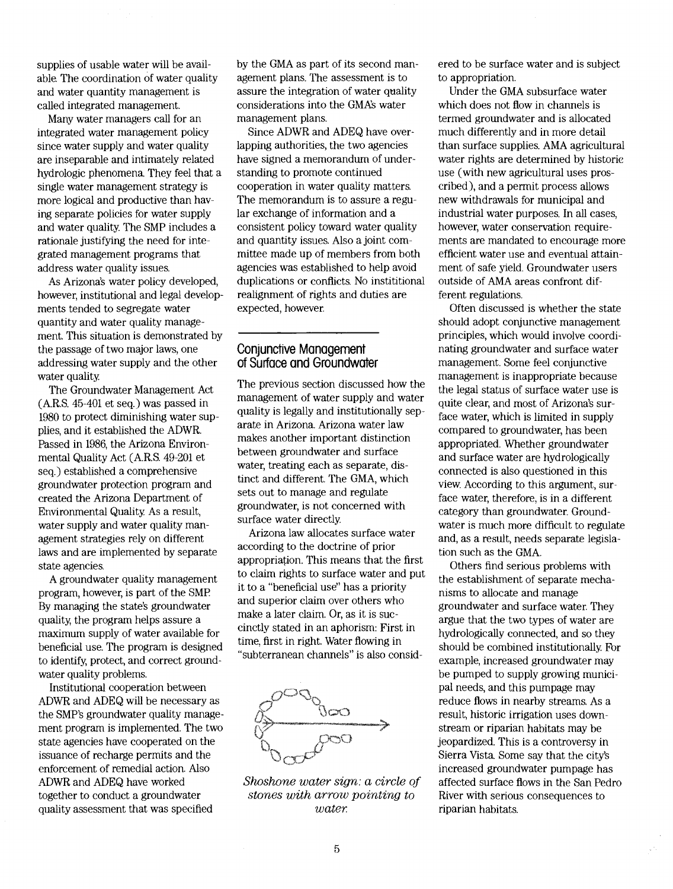supplies of usable water will be available. The coordination of water quality and water quantity management is called integrated management.

Many water managers call for an integrated water management policy since water supply and water quality are inseparable and intimately related hydrologic phenomena. They feel that a single water management strategy is more logical and productive than having separate policies for water supply and water quality. The SMP includes a rationale justifying the need for integrated management programs that address water quality issues.

As Arizona's water policy developed, however, institutional and legal developments tended to segregate water quantity and water quality management. This situation is demonstrated by the passage of two major laws, one addressing water supply and the other water quality.

The Groundwater Management Act (A.R.S. 45-401 et seq.) was passed in 1980 to protect diminishing water supplies, and it established the ADWR. Passed in 1986, the Arizona Environmental Quality Act (A.R.S. 49-201 et seq.) established a comprehensive groundwater protection program and created the Arizona Department of Environmental Quality. As a result, water supply and water quality management strategies rely on different laws and are implemented by separate state agencies.

A groundwater quality management program, however; is part of the SMP By managing the state's groundwater quality, the program helps assure a maximum supply of water available for beneficial use. The program is designed to identify, protect, and correct groundwater quality problems.

Institutional cooperation between ADWR and ADEQ will be necessary as the SMP's groundwater quality management program is implemented. The two state agencies have cooperated on the issuance of recharge permits and the enforcement of remedial action. Also ADWR and ADEQ have worked together to conduct a groundwater quality assessment that was specified

by the GMA as part of its second management plans. The assessment is to assure the integration of water quality considerations into the GMAs water management plans.

Since ADWR and ADEQ have overlapping authorities, the two agencies have signed a memorandum of understanding to promote continued cooperation in water quality matters. The memorandum is to assure a regular exchange of information and a consistent policy toward water quality and quantity issues. Also a joint committee made up of members from both agencies was established to help avoid duplications or conflicts. No instititional realignment of rights and duties are expected, however.

#### Conjunctive Management of Surface and Groundwater

The previous section discussed how the management of water supply and water quality is legally and institutionally separate in Arizona. Arizona water law makes another important distinction between groundwater and surface water; treating each as separate, distinct and different. The GMA, which sets out to manage and regulate groundwater, is not concerned with surface water directly.

Arizona law allocates surface water according to the doctrine of prior appropriation. This means that the first to claim rights to surface water and put it to a "beneficial use" has a priority and superior claim over others who make a later claim. Or, as it is succinctly stated in an aphorism: First in time, first in right. Water flowing in "subterranean channels" is also consid-



Shoshone water sign: a circle of stones with arrow pointing to water

ered to be surface water and is subject to appropriation.

Under the GMA subsurface water which does not flow in channels is termed groundwater and is allocated much differently and in more detail than surface supplies. AMA agricultural water rights are determined by historic use (with new agricultural uses proscribed), and a permit process allows new withdrawals for municipal and industrial water purposes. In all cases, however, water conservation requirements are mandated to encourage more efficient water use and eventual attainment of safe yield. Groundwater users outside of AMA areas confront different regulations.

Often discussed is whether the state should adopt conjunctive management principles, which would involve coordinating groundwater and surface water management. Some feel conjunctive management is inappropriate because the legal status of surface water use is quite clear, and most of Arizona's surface water; which is limited in supply compared to groundwater; has been appropriated. \Vhether groundwater and surface water are hydrologically connected is also questioned in this view. According to this argument, surface water, therefore, is in a different. category than groundwater. Groundwater is much more difficult to regulate and, as a result, needs separate legislation such as the GMA.

Others find serious problems with the establishment of separate mechanisms to allocate and manage groundwater and surface water. They argue that the two types of water are hydrologically connected, and so they should be combined institutionally. For example, increased groundwater may be pumped to supply growing municipal needs, and this pumpage may reduce flows in nearby streama As a result, historic irrigation uses downstream or riparian habitats may be jeopardized. This is a controversy in Sierra Vista Some say that the city's increased groundwater pumpage has affected surface flows in the San Pedro River with serious consequences to riparian habitats.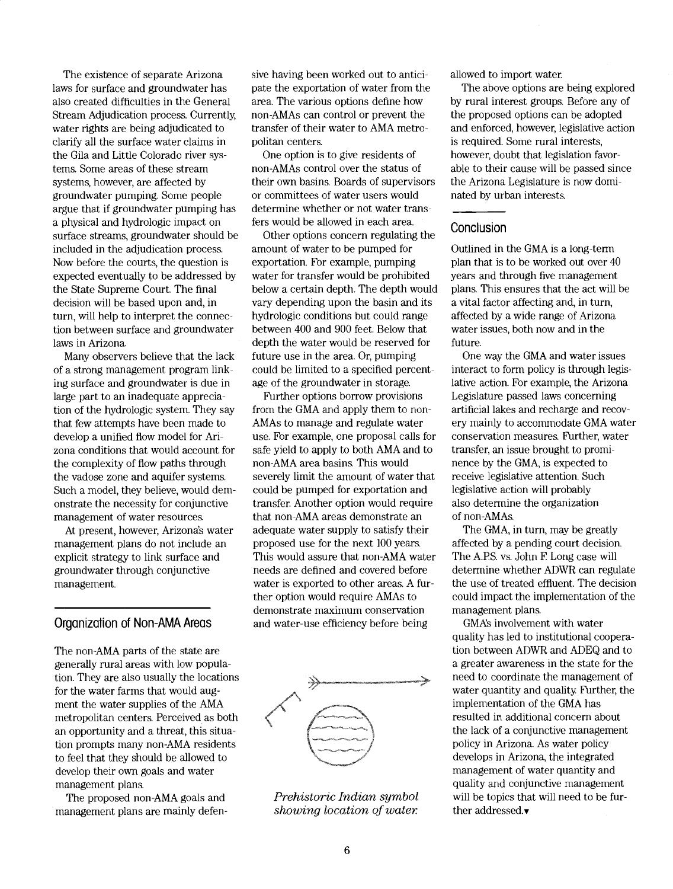The existence of separate Arizona laws for surface and groundwater has also created difficulties in the General Stream Adjudication process. Currently, water rights are being adjudicated to clarify all the surface water claims in the Gila and Little Colorado river systems. Some areas of these stream systems, however, are affected by groundwater pumping. Some people argue that if groundwater pumping has a physical and hydrologic impact on surface streams, groundwater should be included in the adjudication process. Now before the courts, the question is expected eventually to be addressed by the State Supreme Court. The final decision will be based upon and, in turn, will help to interpret the connection between surface and groundwater laws in Arizona

Many observers believe that the lack of a strong management program linking surface and groundwater is due in large part to an inadequate appreciation of the hydrologic system. They say that few attempts have been made to develop a unified flow model for Arizona conditions that would account for the complexity of flow paths through the vadose zone and aquifer systems. Such a model, they believe, would demonstrate the necessity for conjunctive management of water resources.

At present, however, Arizona?s water management plans do not include an explicit strategy to link surface and groundwater through conjunctive management.

#### Organization of Non-AMA Areas

The non-AMA parts of the state are generally rural areas with low population. They are also usually the locations for the water farms that would augment the water supplies of the AMA metropolitan centers. Perceived as both an opportunity and a threat, this situation prompts many non-AMA residents to feel that they should be allowed to develop their own goals and water management plans.

The proposed non-AMA goals and management plans are mainly defen-

sive having been worked out to anticipate the exportation of water from the area. The various options define how non-AMAs can control or prevent the transfer of their water to AMA metropolitan centers.

One option is to give residents of non-AMAs control over the status of their own basins. Boards of supervisors or committees of water users would determine whether or not water transfers would be allowed in each area.

Other options concern regulating the amount of water to be pumped for exportation. For example, pumping water for transfer would be prohibited below a certain depth. The depth would vary depending upon the basin and its hydrologic conditions but could range between 400 and 900 feet. Below that depth the water would be reserved for future use in the area Or, pumping could be limited to a specified percentage of the groundwater in storage.

Further options borrow provisions from the GMA and apply them to non-AMAs to manage and regulate water use. For example, one proposal calls for safe yield to apply to both AMA and to non-AMA area basins. This would severely limit the amount of water that could be pumped for exportation and transfer. Another option would require that non-AMA areas demonstrate an adequate water supply to satisfy their proposed use for the next 100 years. This would assure that non-AMA water needs are defined and covered before water is exported to other areas. A further option would require AMAs to demonstrate maximum conservation and water-use efficiency before being



Prehistoric Indian symbol showing location of water

allowed to import water.

The above options are being explored by rural interest groups. Before any of the proposed options can be adopted and enforced, however, legislative action is required. Some rural interests, however, doubt that legislation favorable to their cause will be passed since the Arizona Legislature is now dominated by urban interests.

#### **Conclusion**

Outlined in the GMA is a long-term plan that is to be worked out over 40 years and through five management plans. This ensures that the act will be a vital factor affecting and, in turn, affected by a wide range of Arizona water issues, both now and in the future.

One way the GMA and water issues interact to form policy is through legislative action. For example, the Arizona Legislature passed laws concerning artificial lakes and recharge and recovery mainly to accommodate GMA water conservation measures. Further, water transfer, an issue brought to prominence by the GMA, is expected to receive legislative attention. Such legislative action will probably also determine the organization of non-AMAs.

The GMA, in turn, may be greatly affected by a pending court decision. The A.P.S. vs. John F. Long case will determine whether ADWR can regulate the use of treated effluent. The decision could impact the implementation of the management plans.

GMAs involvement with water quality has led to institutional cooperation between ADWR and ADEQ and to a greater awareness in the state for the need to coordinate the management of water quantity and quality. Further, the implementation of the GMA has resulted in additional concern about the lack of a conjunctive management policy in Arizona. As water policy develops in Arizona, the integrated management of water quantity and quality and conjunctive management will be topics that will need to be further addressed. $\blacktriangledown$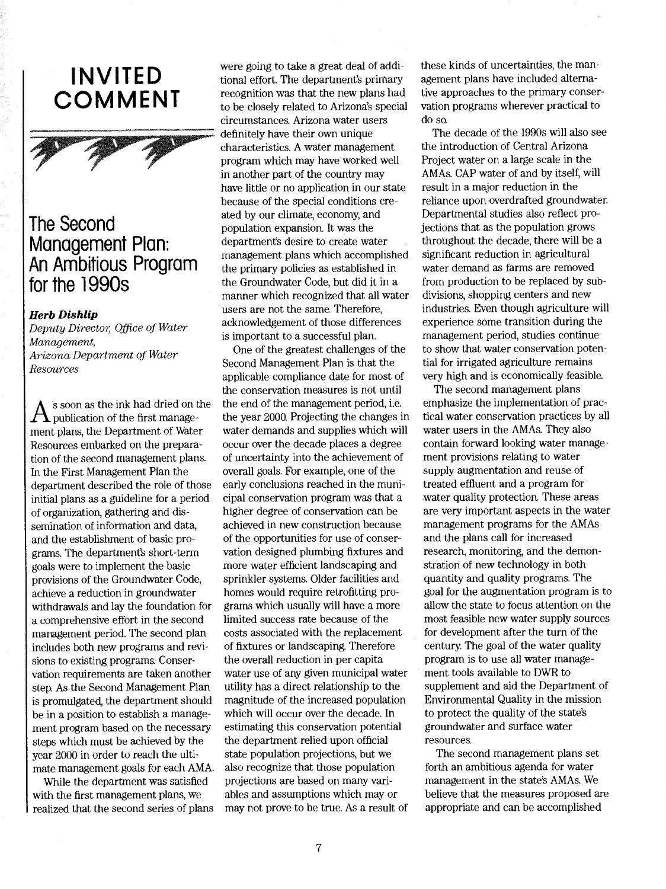# INVITED COMMENT



### The Second Management Plan: An Ambitious Program for the 1990s

#### Herb Dishlip

Deputy Director, Office of Water Management, Arizona Department of Water Resources

 $\bigwedge$  is soon as the ink had dried on the the end<br>publication of the first manage-the year. ment plans, the Department of Water Resources embarked on the preparation of the second management plans. In the First Management Plan the department described the role of those initial plans as a guideline for a period of organization, gathering and dissemination of information and data, and the establishment of basic programs. The department's short-term goals were to implement the basic provisions of the Groundwater Code, achieve a reduction in groundwater withdrawals and lay the foundation for a comprehensive effort in the second management period. The second plan includes both new programs and revisions to existing programa Conservation requirements are taken another step. As the Second Management Plan is promulgated, the department should be in a position to establish a management program based on the necessary steps which must be achieved by the year 2000 in order to reach the ultimate management goals for each AMA.

While the department was satisfied with the first management plans, we realized that the second series of plans

were going to take a great deal of additional effort. The department's primary recognition was that the new plans had to be closely related to Arizona's special circumstances. Arizona water users definitely have their own unique characteristics. A water management program which may have worked well in another part of the country may have little or no application in our state because of the special conditions created by our climate, economy, and population expansion. It was the department's desire to create water management plans which accomplished the primary policies as established in the Groundwater Code, but did it in a manner which recognized that all water users are not the same. Therefore, acknowledgement of those differences is important to a successful plan.

One of the greatest challenges of the Second Management Plan is that the applicable compliance date for most of the conservation measures is not until the end of the management period, i.e. the year 2000. Projecting the changes in water demands and supplies which will occur over the decade places a degree of uncertainty into the achievement of overall goals. For example, one of the early conclusions reached in the municipal conservation program was that a higher degree of conservation can be achieved in new construction because of the opportunities for use of conservation designed plumbing fixtures and more water efficient landscaping and sprinkler systems. Older facilities and homes would require retrofitting programs which usually will have a more limited success rate because of the costs associated with the replacement of fixtures or landscaping. Therefore the overall reduction in per capita water use of any given municipal water utility has a direct relationship to the magnitude of the increased population which will occur over the decade. In estimating this conservation potential the department relied upon official state population projections, but we also recognize that those population projections are based on many variables and assumptions which may or may not prove to be true. As a result of

these kinds of uncertainties, the management plans have included alternative approaches to the primary conservation programs wherever practical to do so.

The decade of the 1990s will also see the introduction of Central Arizona Project water on a large scale in the AMAs. CAP water of and by itself, will result in a major reduction in the reliance upon overdrafted groundwater. Departmental studies also reflect projections that as the population grows throughout the decade, there will be a significant reduction in agricultural water demand as farms are removed from production to be replaced by subdivisions, shopping centers and new industries. Even though agriculture will experience some transition during the management period, studies continue to show that water conservation potential for irrigated agriculture remains very high and is economically feasible.

The second management plans emphasize the implementation of practical water conservation practices by all water users in the AMAs. They also contain forward looking water management provisions relating to water supply augmentation and reuse of treated effluent and a program for water quality protection. These areas are very important aspects in the water management programs for the AMAS and the plans call for increased research, monitoring, and the demonstration of new technology in both quantity and quality programs. The goal for the augmentation program is to allow the state to focus attention on the most feasible new water supply sources for development after the turn of the century. The goal of the water quality program is to use all water management tools available to DWR to supplement and aid the Department of Environmental Quality in the mission to protect the quality of the state's groundwater and surface water resourcea

The second management plans set forth an ambitious agenda for water management in the state's AMAs. We believe that the measures proposed are appropriate and can be accomplished